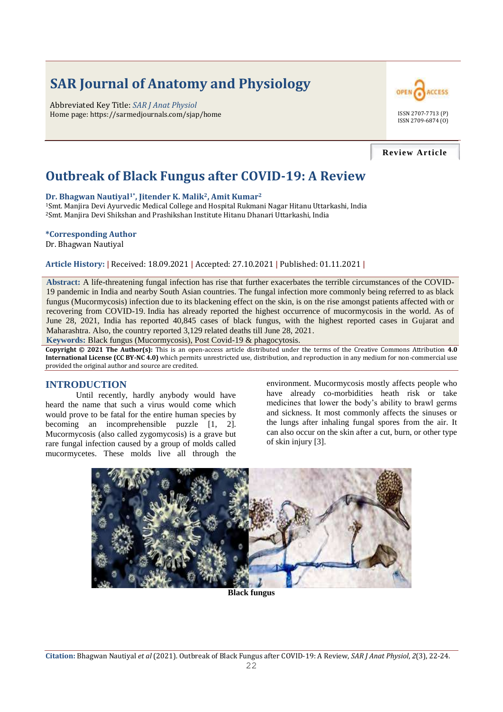# **SAR Journal of Anatomy and Physiology**

Abbreviated Key Title: *SAR J Anat Physiol* Home page: https://sarmedjournals.com/sjap/home ISSN 2707-7713 (P)



#### **Review Article**

# **Outbreak of Black Fungus after COVID-19: A Review**

#### **Dr. Bhagwan Nautiyal1\*, Jitender K. Malik2, Amit Kumar<sup>2</sup>**

<sup>1</sup>Smt. Manjira Devi Ayurvedic Medical College and Hospital Rukmani Nagar Hitanu Uttarkashi, India <sup>2</sup>Smt. Manjira Devi Shikshan and Prashikshan Institute Hitanu Dhanari Uttarkashi, India

#### **\*Corresponding Author**

Dr. Bhagwan Nautiyal

#### **Article History: |** Received: 18.09.2021 **|** Accepted: 27.10.2021 **|** Published: 01.11.2021 **|**

**Abstract:** A life-threatening fungal infection has rise that further exacerbates the terrible circumstances of the COVID-19 pandemic in India and nearby South Asian countries. The fungal infection more commonly being referred to as black fungus (Mucormycosis) infection due to its blackening effect on the skin, is on the rise amongst patients affected with or recovering from COVID-19. India has already reported the highest occurrence of mucormycosis in the world. As of June 28, 2021, India has reported 40,845 cases of black fungus, with the highest reported cases in Gujarat and Maharashtra. Also, the country reported 3,129 related deaths till June 28, 2021.

**Keywords:** Black fungus (Mucormycosis), Post Covid-19 & phagocytosis.

**Copyright © 2021 The Author(s):** This is an open-access article distributed under the terms of the Creative Commons Attribution **4.0 International License (CC BY-NC 4.0)** which permits unrestricted use, distribution, and reproduction in any medium for non-commercial use provided the original author and source are credited.

#### **INTRODUCTION**

Until recently, hardly anybody would have heard the name that such a virus would come which would prove to be fatal for the entire human species by becoming an incomprehensible puzzle [1, 2]. Mucormycosis (also called zygomycosis) is a grave but rare fungal infection caused by a group of molds called mucormycetes. These molds live all through the

environment. Mucormycosis mostly affects people who have already co-morbidities heath risk or take medicines that lower the body's ability to brawl germs and sickness. It most commonly affects the sinuses or the lungs after inhaling fungal spores from the air. It can also occur on the skin after a cut, burn, or other type of skin injury [3].

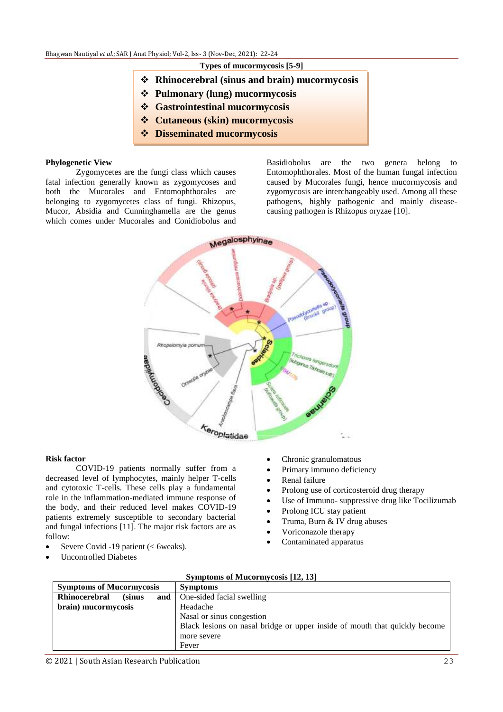#### **Types of mucormycosis [5-9]**

- **Rhinocerebral (sinus and brain) mucormycosis**
- **Pulmonary (lung) mucormycosis**
- **Gastrointestinal mucormycosis**
- **Cutaneous (skin) mucormycosis**
- **Disseminated mucormycosis**

#### **Phylogenetic View**

Zygomycetes are the fungi class which causes fatal infection generally known as zygomycoses and both the Mucorales and Entomophthorales are belonging to zygomycetes class of fungi. Rhizopus, Mucor, Absidia and Cunninghamella are the genus which comes under Mucorales and Conidiobolus and

Basidiobolus are the two genera belong to Entomophthorales. Most of the human fungal infection caused by Mucorales fungi, hence mucormycosis and zygomycosis are interchangeably used. Among all these pathogens, highly pathogenic and mainly diseasecausing pathogen is Rhizopus oryzae [10].



#### **Risk factor**

COVID-19 patients normally suffer from a decreased level of lymphocytes, mainly helper T-cells and cytotoxic T-cells. These cells play a fundamental role in the inflammation-mediated immune response of the body, and their reduced level makes COVID-19 patients extremely susceptible to secondary bacterial and fungal infections [11]. The major risk factors are as follow:

- Severe Covid -19 patient (< 6weaks).
- Uncontrolled Diabetes
- Chronic granulomatous
- Primary immuno deficiency
- Renal failure
- Prolong use of corticosteroid drug therapy
- Use of Immuno- suppressive drug like Tocilizumab
- Prolong ICU stay patient
- Truma, Burn & IV drug abuses
- Voriconazole therapy
- Contaminated apparatus

| <b>Symptoms of Mucormycosis</b>        | <b>Symptoms</b>                                                            |
|----------------------------------------|----------------------------------------------------------------------------|
| Rhinocerebral<br><i>(sinus)</i><br>and | One-sided facial swelling                                                  |
| brain) mucormycosis                    | Headache                                                                   |
|                                        | Nasal or sinus congestion                                                  |
|                                        | Black lesions on nasal bridge or upper inside of mouth that quickly become |
|                                        | more severe                                                                |
|                                        | Fever                                                                      |

#### **Symptoms of Mucormycosis [12, 13]**